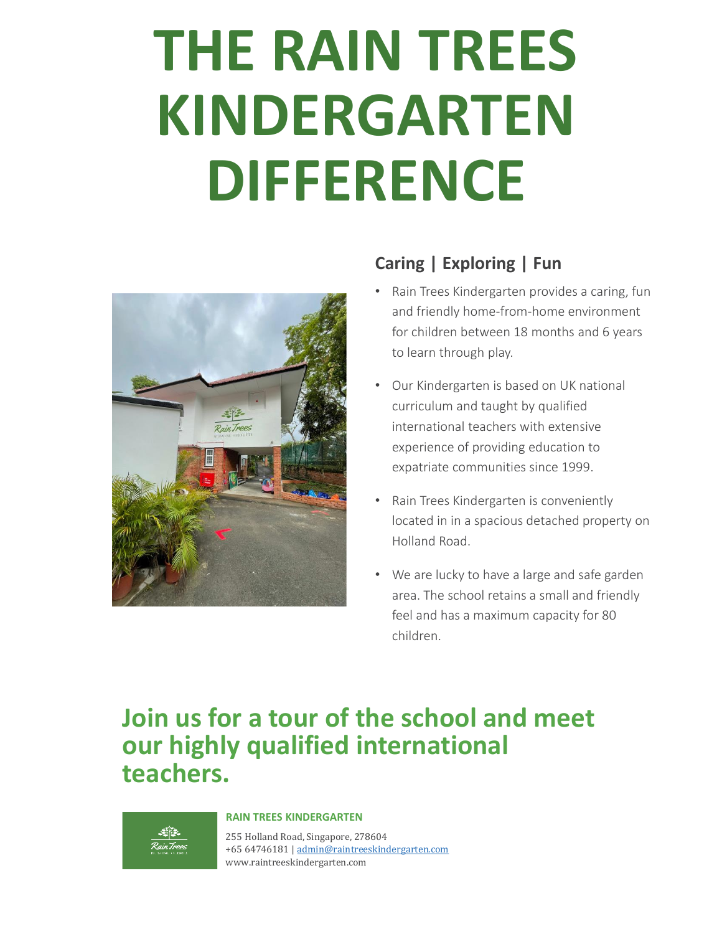# **THE RAIN TREES KINDERGARTEN DIFFERENCE**



### **Caring | Exploring | Fun**

- Rain Trees Kindergarten provides a caring, fun and friendly home-from-home environment for children between 18 months and 6 years to learn through play.
- Our Kindergarten is based on UK national curriculum and taught by qualified international teachers with extensive experience of providing education to expatriate communities since 1999.
- Rain Trees Kindergarten is conveniently located in in a spacious detached property on Holland Road.
- We are lucky to have a large and safe garden area. The school retains a small and friendly feel and has a maximum capacity for 80 children.

## **Join us for a tour of the school and meet our highly qualified international teachers.**



#### **RAIN TREES KINDERGARTEN**

255 Holland Road, Singapore, 278604 +65 64746181 | [admin@raintreeskindergarten.com](mailto:admin@raintreeskindergarten.com) www.raintreeskindergarten.com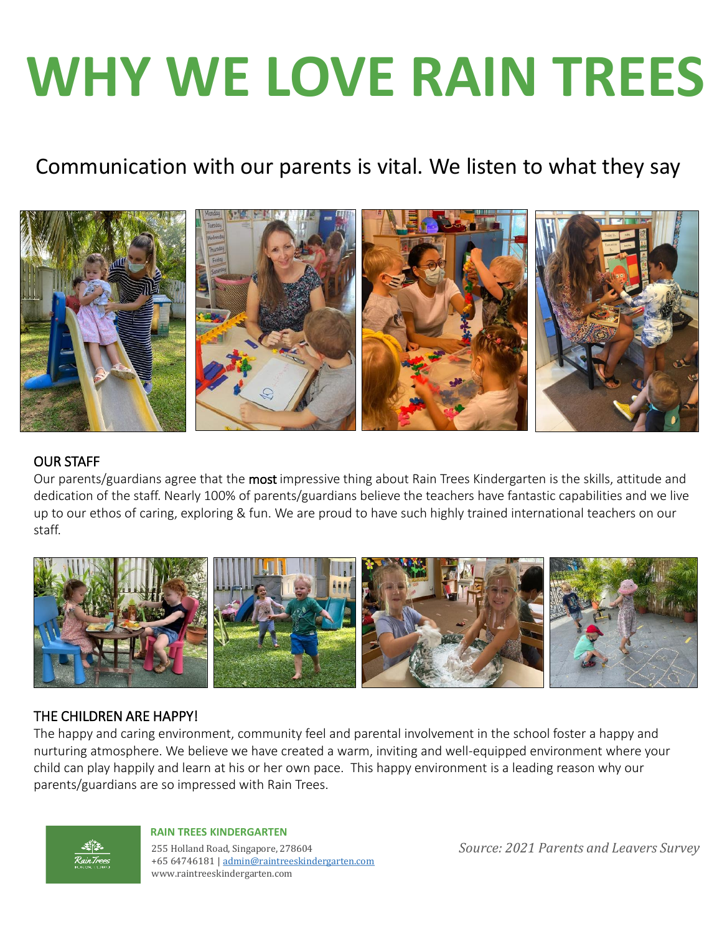# **WHY WE LOVE RAIN TREES**

## Communication with our parents is vital. We listen to what they say



### OUR STAFF

Our parents/guardians agree that the most impressive thing about Rain Trees Kindergarten is the skills, attitude and dedication of the staff. Nearly 100% of parents/guardians believe the teachers have fantastic capabilities and we live up to our ethos of caring, exploring & fun. We are proud to have such highly trained international teachers on our staff.



### THE CHILDREN ARE HAPPY!

The happy and caring environment, community feel and parental involvement in the school foster a happy and nurturing atmosphere. We believe we have created a warm, inviting and well-equipped environment where your child can play happily and learn at his or her own pace. This happy environment is a leading reason why our parents/guardians are so impressed with Rain Trees.



#### **RAIN TREES KINDERGARTEN**

255 Holland Road, Singapore, 278604 +65 64746181 | [admin@raintreeskindergarten.com](mailto:admin@raintreeskindergarten.com) www.raintreeskindergarten.com

*Source: 2021 Parents and Leavers Survey*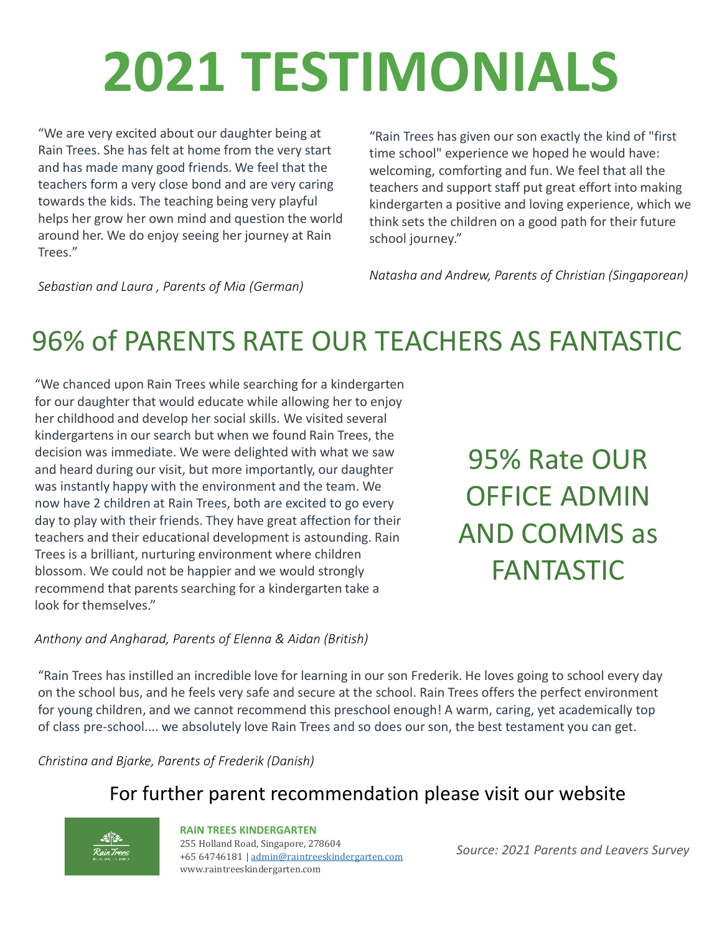# **2021 TESTIMONIALS**

"We are very excited about our daughter being at Rain Trees. She has felt at home from the very start and has made many good friends. We feel that the teachers form a very close bond and are very caring towards the kids. The teaching being very playful helps her grow her own mind and question the world around her. We do enjoy seeing her journey at Rain Trees."

"Rain Trees has given our son exactly the kind of "first time school" experience we hoped he would have: welcoming, comforting and fun. We feel that all the teachers and support staff put great effort into making kindergarten a positive and loving experience, which we think sets the children on a good path for their future school journey."

*Natasha and Andrew, Parents of Christian (Singaporean)*

*Sebastian and Laura , Parents of Mia (German)*

# 96% of PARENTS RATE OUR TEACHERS AS FANTASTIC

"We chanced upon Rain Trees while searching for a kindergarten for our daughter that would educate while allowing her to enjoy her childhood and develop her social skills. We visited several kindergartens in our search but when we found Rain Trees, the decision was immediate. We were delighted with what we saw and heard during our visit, but more importantly, our daughter was instantly happy with the environment and the team. We now have 2 children at Rain Trees, both are excited to go every day to play with their friends. They have great affection for their teachers and their educational development is astounding. Rain Trees is a brilliant, nurturing environment where children blossom. We could not be happier and we would strongly recommend that parents searching for a kindergarten take a look for themselves."

95% Rate OUR OFFICE ADMIN AND COMMS as FANTASTIC

#### *Anthony and Angharad, Parents of Elenna & Aidan (British)*

"Rain Trees has instilled an incredible love for learning in our son Frederik. He loves going to school every day on the school bus, and he feels very safe and secure at the school. Rain Trees offers the perfect environment for young children, and we cannot recommend this preschool enough! A warm, caring, yet academically top of class pre-school.... we absolutely love Rain Trees and so does our son, the best testament you can get.

*Christina and Bjarke, Parents of Frederik (Danish)*

### For further parent recommendation please visit our website

#### 255 Holland Road, Singapore, 278604 **RAIN TREES KINDERGARTEN**

+65 64746181 | [admin@raintreeskindergarten.com](mailto:admin@raintreeskindergarten.com) www.raintreeskindergarten.com

*Source: 2021 Parents and Leavers Survey*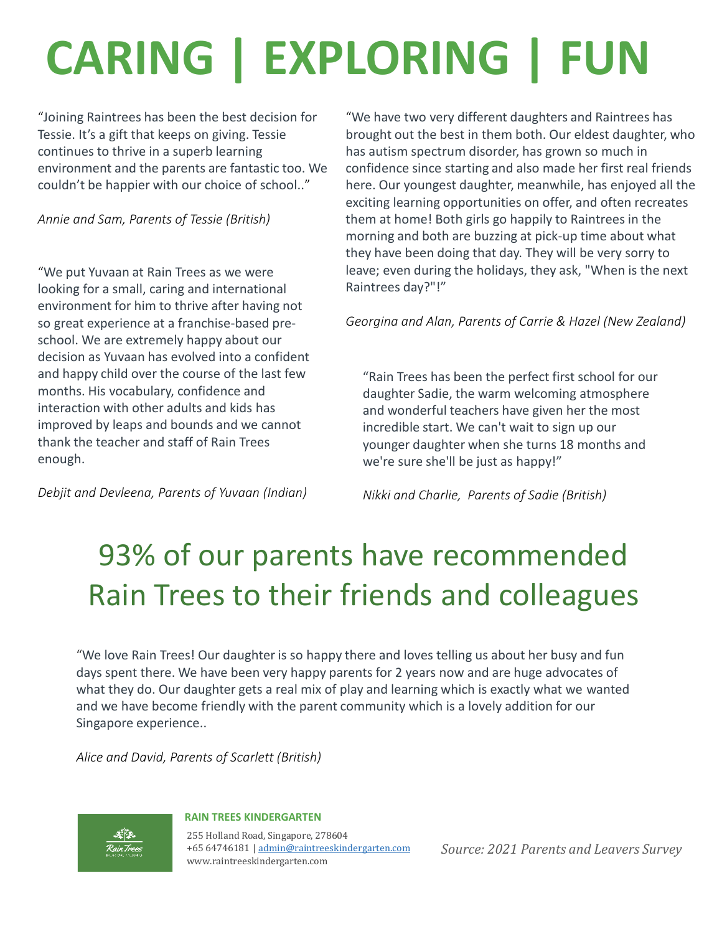# **CARING | EXPLORING | FUN**

"Joining Raintrees has been the best decision for Tessie. It's a gift that keeps on giving. Tessie continues to thrive in a superb learning environment and the parents are fantastic too. We couldn't be happier with our choice of school.."

*Annie and Sam, Parents of Tessie (British)*

"We put Yuvaan at Rain Trees as we were looking for a small, caring and international environment for him to thrive after having not so great experience at a franchise-based preschool. We are extremely happy about our decision as Yuvaan has evolved into a confident and happy child over the course of the last few months. His vocabulary, confidence and interaction with other adults and kids has improved by leaps and bounds and we cannot thank the teacher and staff of Rain Trees enough.

*Debjit and Devleena, Parents of Yuvaan (Indian)*

"We have two very different daughters and Raintrees has brought out the best in them both. Our eldest daughter, who has autism spectrum disorder, has grown so much in confidence since starting and also made her first real friends here. Our youngest daughter, meanwhile, has enjoyed all the exciting learning opportunities on offer, and often recreates them at home! Both girls go happily to Raintrees in the morning and both are buzzing at pick-up time about what they have been doing that day. They will be very sorry to leave; even during the holidays, they ask, "When is the next Raintrees day?"!"

*Georgina and Alan, Parents of Carrie & Hazel (New Zealand)*

"Rain Trees has been the perfect first school for our daughter Sadie, the warm welcoming atmosphere and wonderful teachers have given her the most incredible start. We can't wait to sign up our younger daughter when she turns 18 months and we're sure she'll be just as happy!"

*Nikki and Charlie, Parents of Sadie (British)*

# 93% of our parents have recommended Rain Trees to their friends and colleagues

"We love Rain Trees! Our daughter is so happy there and loves telling us about her busy and fun days spent there. We have been very happy parents for 2 years now and are huge advocates of what they do. Our daughter gets a real mix of play and learning which is exactly what we wanted and we have become friendly with the parent community which is a lovely addition for our Singapore experience..

*Alice and David, Parents of Scarlett (British)*



#### **RAIN TREES KINDERGARTEN**

255 Holland Road, Singapore, 278604 +65 64746181 | [admin@raintreeskindergarten.com](mailto:admin@raintreeskindergarten.com) www.raintreeskindergarten.com

*Source: 2021 Parents and Leavers Survey*